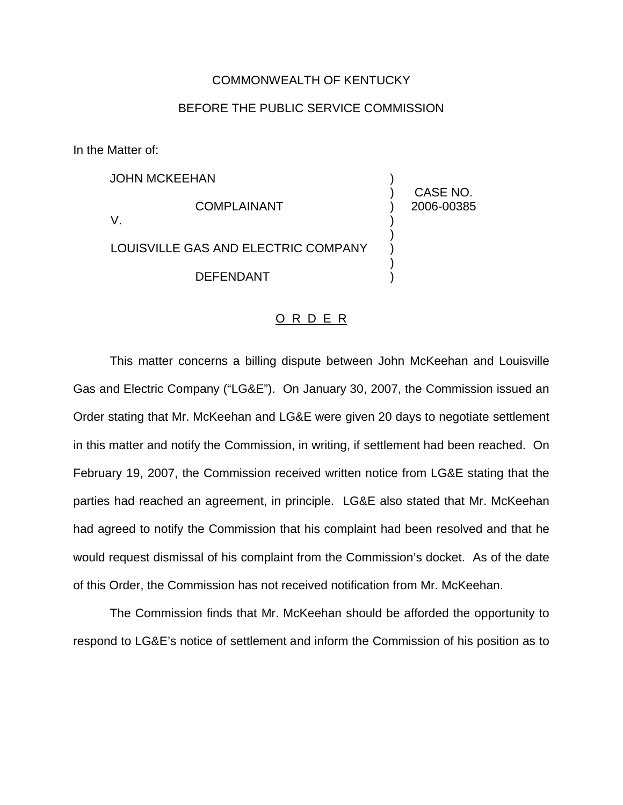## COMMONWEALTH OF KENTUCKY

## BEFORE THE PUBLIC SERVICE COMMISSION

In the Matter of:

JOHN MCKEEHAN COMPLAINANT V. LOUISVILLE GAS AND ELECTRIC COMPANY **DEFENDANT** ) ) CASE NO. ) 2006-00385 ) ) ) ) )

## O R D E R

This matter concerns a billing dispute between John McKeehan and Louisville Gas and Electric Company ("LG&E"). On January 30, 2007, the Commission issued an Order stating that Mr. McKeehan and LG&E were given 20 days to negotiate settlement in this matter and notify the Commission, in writing, if settlement had been reached. On February 19, 2007, the Commission received written notice from LG&E stating that the parties had reached an agreement, in principle. LG&E also stated that Mr. McKeehan had agreed to notify the Commission that his complaint had been resolved and that he would request dismissal of his complaint from the Commission's docket. As of the date of this Order, the Commission has not received notification from Mr. McKeehan.

The Commission finds that Mr. McKeehan should be afforded the opportunity to respond to LG&E's notice of settlement and inform the Commission of his position as to